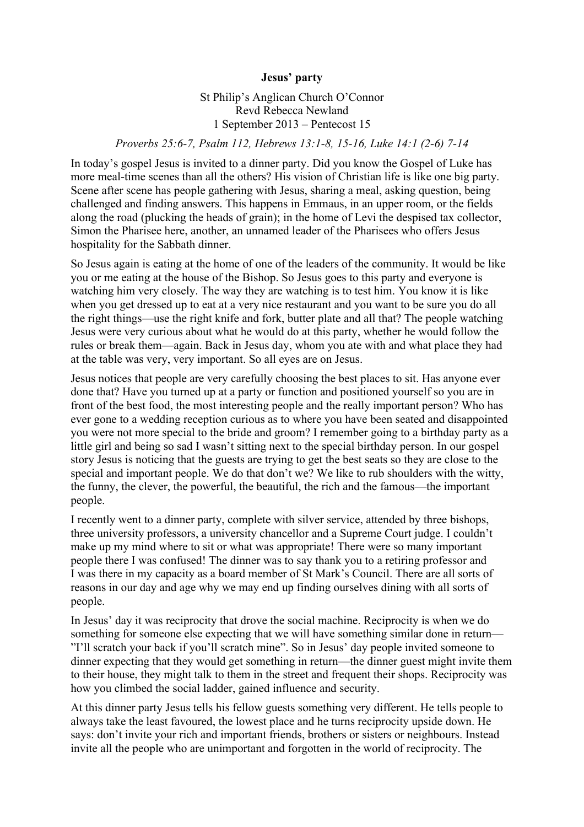## **Jesus' party**

St Philip's Anglican Church O'Connor Revd Rebecca Newland 1 September 2013 – Pentecost 15

## *Proverbs 25:6-7, Psalm 112, Hebrews 13:1-8, 15-16, Luke 14:1 (2-6) 7-14*

In today's gospel Jesus is invited to a dinner party. Did you know the Gospel of Luke has more meal-time scenes than all the others? His vision of Christian life is like one big party. Scene after scene has people gathering with Jesus, sharing a meal, asking question, being challenged and finding answers. This happens in Emmaus, in an upper room, or the fields along the road (plucking the heads of grain); in the home of Levi the despised tax collector, Simon the Pharisee here, another, an unnamed leader of the Pharisees who offers Jesus hospitality for the Sabbath dinner.

So Jesus again is eating at the home of one of the leaders of the community. It would be like you or me eating at the house of the Bishop. So Jesus goes to this party and everyone is watching him very closely. The way they are watching is to test him. You know it is like when you get dressed up to eat at a very nice restaurant and you want to be sure you do all the right things—use the right knife and fork, butter plate and all that? The people watching Jesus were very curious about what he would do at this party, whether he would follow the rules or break them—again. Back in Jesus day, whom you ate with and what place they had at the table was very, very important. So all eyes are on Jesus.

Jesus notices that people are very carefully choosing the best places to sit. Has anyone ever done that? Have you turned up at a party or function and positioned yourself so you are in front of the best food, the most interesting people and the really important person? Who has ever gone to a wedding reception curious as to where you have been seated and disappointed you were not more special to the bride and groom? I remember going to a birthday party as a little girl and being so sad I wasn't sitting next to the special birthday person. In our gospel story Jesus is noticing that the guests are trying to get the best seats so they are close to the special and important people. We do that don't we? We like to rub shoulders with the witty, the funny, the clever, the powerful, the beautiful, the rich and the famous—the important people.

I recently went to a dinner party, complete with silver service, attended by three bishops, three university professors, a university chancellor and a Supreme Court judge. I couldn't make up my mind where to sit or what was appropriate! There were so many important people there I was confused! The dinner was to say thank you to a retiring professor and I was there in my capacity as a board member of St Mark's Council. There are all sorts of reasons in our day and age why we may end up finding ourselves dining with all sorts of people.

In Jesus' day it was reciprocity that drove the social machine. Reciprocity is when we do something for someone else expecting that we will have something similar done in return— "I'll scratch your back if you'll scratch mine". So in Jesus' day people invited someone to dinner expecting that they would get something in return—the dinner guest might invite them to their house, they might talk to them in the street and frequent their shops. Reciprocity was how you climbed the social ladder, gained influence and security.

At this dinner party Jesus tells his fellow guests something very different. He tells people to always take the least favoured, the lowest place and he turns reciprocity upside down. He says: don't invite your rich and important friends, brothers or sisters or neighbours. Instead invite all the people who are unimportant and forgotten in the world of reciprocity. The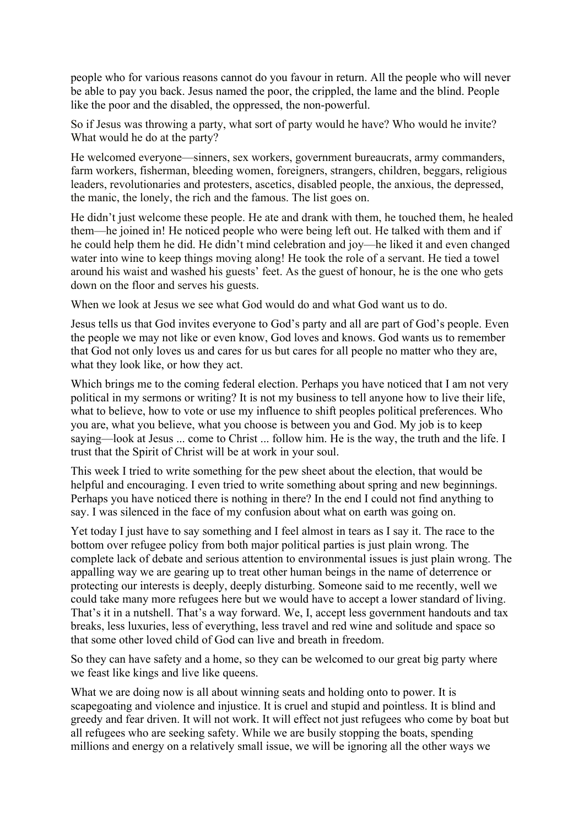people who for various reasons cannot do you favour in return. All the people who will never be able to pay you back. Jesus named the poor, the crippled, the lame and the blind. People like the poor and the disabled, the oppressed, the non-powerful.

So if Jesus was throwing a party, what sort of party would he have? Who would he invite? What would he do at the party?

He welcomed everyone—sinners, sex workers, government bureaucrats, army commanders, farm workers, fisherman, bleeding women, foreigners, strangers, children, beggars, religious leaders, revolutionaries and protesters, ascetics, disabled people, the anxious, the depressed, the manic, the lonely, the rich and the famous. The list goes on.

He didn't just welcome these people. He ate and drank with them, he touched them, he healed them—he joined in! He noticed people who were being left out. He talked with them and if he could help them he did. He didn't mind celebration and joy—he liked it and even changed water into wine to keep things moving along! He took the role of a servant. He tied a towel around his waist and washed his guests' feet. As the guest of honour, he is the one who gets down on the floor and serves his guests.

When we look at Jesus we see what God would do and what God want us to do.

Jesus tells us that God invites everyone to God's party and all are part of God's people. Even the people we may not like or even know, God loves and knows. God wants us to remember that God not only loves us and cares for us but cares for all people no matter who they are, what they look like, or how they act.

Which brings me to the coming federal election. Perhaps you have noticed that I am not very political in my sermons or writing? It is not my business to tell anyone how to live their life, what to believe, how to vote or use my influence to shift peoples political preferences. Who you are, what you believe, what you choose is between you and God. My job is to keep saying—look at Jesus ... come to Christ ... follow him. He is the way, the truth and the life. I trust that the Spirit of Christ will be at work in your soul.

This week I tried to write something for the pew sheet about the election, that would be helpful and encouraging. I even tried to write something about spring and new beginnings. Perhaps you have noticed there is nothing in there? In the end I could not find anything to say. I was silenced in the face of my confusion about what on earth was going on.

Yet today I just have to say something and I feel almost in tears as I say it. The race to the bottom over refugee policy from both major political parties is just plain wrong. The complete lack of debate and serious attention to environmental issues is just plain wrong. The appalling way we are gearing up to treat other human beings in the name of deterrence or protecting our interests is deeply, deeply disturbing. Someone said to me recently, well we could take many more refugees here but we would have to accept a lower standard of living. That's it in a nutshell. That's a way forward. We, I, accept less government handouts and tax breaks, less luxuries, less of everything, less travel and red wine and solitude and space so that some other loved child of God can live and breath in freedom.

So they can have safety and a home, so they can be welcomed to our great big party where we feast like kings and live like queens.

What we are doing now is all about winning seats and holding onto to power. It is scapegoating and violence and injustice. It is cruel and stupid and pointless. It is blind and greedy and fear driven. It will not work. It will effect not just refugees who come by boat but all refugees who are seeking safety. While we are busily stopping the boats, spending millions and energy on a relatively small issue, we will be ignoring all the other ways we